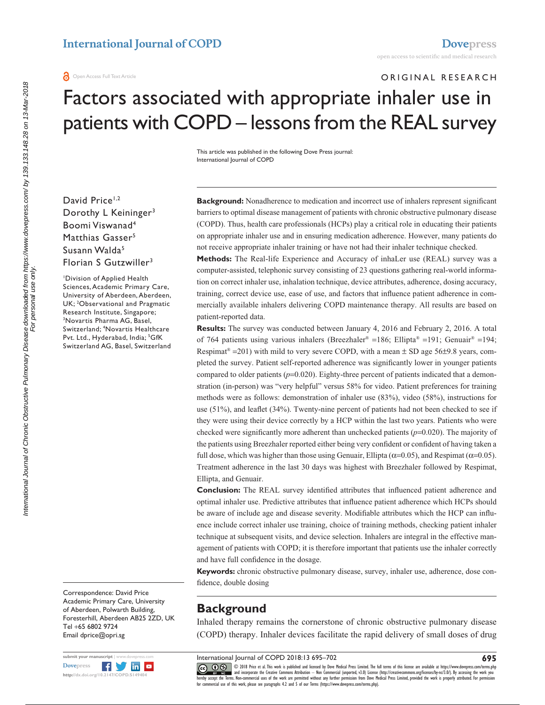**a** Open Access Full Text Article

## ORIGINAL RESEARCH

# Factors associated with appropriate inhaler use in patients with COPD – lessons from the REAL survey

This article was published in the following Dove Press journal: International Journal of COPD

David Price<sup>1,2</sup> Dorothy L Keininger<sup>3</sup> Boomi Viswanad4 Matthias Gasser<sup>5</sup> Susann Walda<sup>5</sup> Florian S Gutzwiller<sup>3</sup>

1 Division of Applied Health Sciences, Academic Primary Care, University of Aberdeen, Aberdeen, UK; 2 Observational and Pragmatic Research Institute, Singapore; 3 Novartis Pharma AG, Basel, Switzerland; 4 Novartis Healthcare Pvt. Ltd., Hyderabad, India; <sup>5</sup>GfK Switzerland AG, Basel, Switzerland

Correspondence: David Price Academic Primary Care, University of Aberdeen, Polwarth Building, Foresterhill, Aberdeen AB25 2ZD, UK Tel +65 6802 9724 Email [dprice@opri.sg](mailto:dprice@opri.sg)



**Background:** Nonadherence to medication and incorrect use of inhalers represent significant barriers to optimal disease management of patients with chronic obstructive pulmonary disease (COPD). Thus, health care professionals (HCPs) play a critical role in educating their patients on appropriate inhaler use and in ensuring medication adherence. However, many patients do not receive appropriate inhaler training or have not had their inhaler technique checked.

**Methods:** The Real-life Experience and Accuracy of inhaLer use (REAL) survey was a computer-assisted, telephonic survey consisting of 23 questions gathering real-world information on correct inhaler use, inhalation technique, device attributes, adherence, dosing accuracy, training, correct device use, ease of use, and factors that influence patient adherence in commercially available inhalers delivering COPD maintenance therapy. All results are based on patient-reported data.

**Results:** The survey was conducted between January 4, 2016 and February 2, 2016. A total of 764 patients using various inhalers (Breezhaler® =186; Ellipta® =191; Genuair® =194; Respimat<sup>®</sup> = 201) with mild to very severe COPD, with a mean  $\pm$  SD age 56 $\pm$ 9.8 years, completed the survey. Patient self-reported adherence was significantly lower in younger patients compared to older patients (*p*=0.020). Eighty-three percent of patients indicated that a demonstration (in-person) was "very helpful" versus 58% for video. Patient preferences for training methods were as follows: demonstration of inhaler use (83%), video (58%), instructions for use (51%), and leaflet (34%). Twenty-nine percent of patients had not been checked to see if they were using their device correctly by a HCP within the last two years. Patients who were checked were significantly more adherent than unchecked patients (*p*=0.020). The majority of the patients using Breezhaler reported either being very confident or confident of having taken a full dose, which was higher than those using Genuair, Ellipta ( $\alpha$ =0.05), and Respimat ( $\alpha$ =0.05). Treatment adherence in the last 30 days was highest with Breezhaler followed by Respimat, Ellipta, and Genuair.

**Conclusion:** The REAL survey identified attributes that influenced patient adherence and optimal inhaler use. Predictive attributes that influence patient adherence which HCPs should be aware of include age and disease severity. Modifiable attributes which the HCP can influence include correct inhaler use training, choice of training methods, checking patient inhaler technique at subsequent visits, and device selection. Inhalers are integral in the effective management of patients with COPD; it is therefore important that patients use the inhaler correctly and have full confidence in the dosage.

**Keywords:** chronic obstructive pulmonary disease, survey, inhaler use, adherence, dose confidence, double dosing

# **Background**

Inhaled therapy remains the cornerstone of chronic obstructive pulmonary disease (COPD) therapy. Inhaler devices facilitate the rapid delivery of small doses of drug

International Journal of COPD 2018:13 695–702

CCC 1 © 2018 Price et al. This work is published and licensed by Dove Medical Press Limited. The full terms of this license are available at https://www.dovepres.com/terms.php<br>[hereby accept the Terms](http://www.dovepress.com/permissions.php). Non-commercial uses o

**695**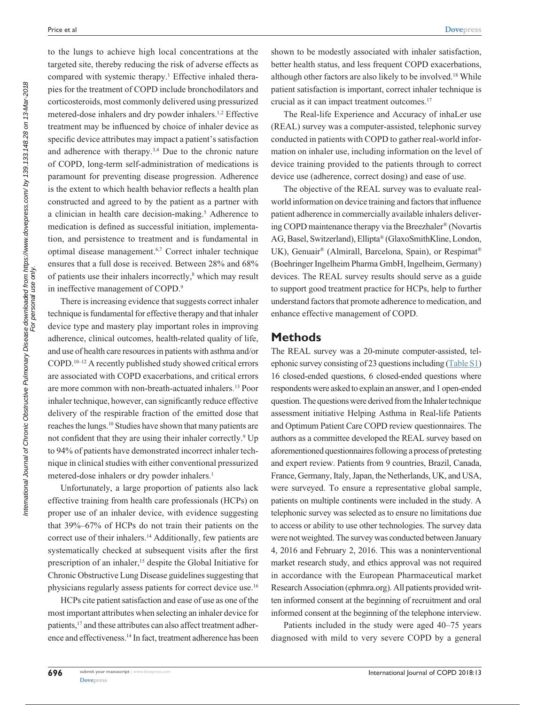to the lungs to achieve high local concentrations at the targeted site, thereby reducing the risk of adverse effects as compared with systemic therapy.<sup>1</sup> Effective inhaled therapies for the treatment of COPD include bronchodilators and corticosteroids, most commonly delivered using pressurized metered-dose inhalers and dry powder inhalers.1,2 Effective treatment may be influenced by choice of inhaler device as specific device attributes may impact a patient's satisfaction and adherence with therapy.3,4 Due to the chronic nature of COPD, long-term self-administration of medications is paramount for preventing disease progression. Adherence is the extent to which health behavior reflects a health plan constructed and agreed to by the patient as a partner with a clinician in health care decision-making.<sup>5</sup> Adherence to medication is defined as successful initiation, implementation, and persistence to treatment and is fundamental in optimal disease management.6,7 Correct inhaler technique ensures that a full dose is received. Between 28% and 68% of patients use their inhalers incorrectly,<sup>8</sup> which may result in ineffective management of COPD.<sup>9</sup>

There is increasing evidence that suggests correct inhaler technique is fundamental for effective therapy and that inhaler device type and mastery play important roles in improving adherence, clinical outcomes, health-related quality of life, and use of health care resources in patients with asthma and/or COPD.10–12 A recently published study showed critical errors are associated with COPD exacerbations, and critical errors are more common with non-breath-actuated inhalers.13 Poor inhaler technique, however, can significantly reduce effective delivery of the respirable fraction of the emitted dose that reaches the lungs.10 Studies have shown that many patients are not confident that they are using their inhaler correctly.<sup>9</sup> Up to 94% of patients have demonstrated incorrect inhaler technique in clinical studies with either conventional pressurized metered-dose inhalers or dry powder inhalers.<sup>1</sup>

Unfortunately, a large proportion of patients also lack effective training from health care professionals (HCPs) on proper use of an inhaler device, with evidence suggesting that 39%–67% of HCPs do not train their patients on the correct use of their inhalers.<sup>14</sup> Additionally, few patients are systematically checked at subsequent visits after the first prescription of an inhaler,<sup>15</sup> despite the Global Initiative for Chronic Obstructive Lung Disease guidelines suggesting that physicians regularly assess patients for correct device use.16

HCPs cite patient satisfaction and ease of use as one of the most important attributes when selecting an inhaler device for patients,<sup>17</sup> and these attributes can also affect treatment adherence and effectiveness.14 In fact, treatment adherence has been shown to be modestly associated with inhaler satisfaction, better health status, and less frequent COPD exacerbations, although other factors are also likely to be involved.18 While patient satisfaction is important, correct inhaler technique is crucial as it can impact treatment outcomes.17

The Real-life Experience and Accuracy of inhaLer use (REAL) survey was a computer-assisted, telephonic survey conducted in patients with COPD to gather real-world information on inhaler use, including information on the level of device training provided to the patients through to correct device use (adherence, correct dosing) and ease of use.

The objective of the REAL survey was to evaluate realworld information on device training and factors that influence patient adherence in commercially available inhalers delivering COPD maintenance therapy via the Breezhaler® (Novartis AG, Basel, Switzerland), Ellipta® (GlaxoSmithKline, London, UK), Genuair® (Almirall, Barcelona, Spain), or Respimat® (Boehringer Ingelheim Pharma GmbH, Ingelheim, Germany) devices. The REAL survey results should serve as a guide to support good treatment practice for HCPs, help to further understand factors that promote adherence to medication, and enhance effective management of COPD.

### **Methods**

The REAL survey was a 20-minute computer-assisted, telephonic survey consisting of 23 questions including [\(Table](https://www.dovepress.com/get_supplementary_file.php?f=149404.pdf ) S1) 16 closed-ended questions, 6 closed-ended questions where respondents were asked to explain an answer, and 1 open-ended question. The questions were derived from the Inhaler technique assessment initiative Helping Asthma in Real-life Patients and Optimum Patient Care COPD review questionnaires. The authors as a committee developed the REAL survey based on aforementioned questionnaires following a process of pretesting and expert review. Patients from 9 countries, Brazil, Canada, France, Germany, Italy, Japan, the Netherlands, UK, and USA, were surveyed. To ensure a representative global sample, patients on multiple continents were included in the study. A telephonic survey was selected as to ensure no limitations due to access or ability to use other technologies. The survey data were not weighted. The survey was conducted between January 4, 2016 and February 2, 2016. This was a noninterventional market research study, and ethics approval was not required in accordance with the European Pharmaceutical market Research Association (ephmra.org). All patients provided written informed consent at the beginning of recruitment and oral informed consent at the beginning of the telephone interview.

Patients included in the study were aged 40–75 years diagnosed with mild to very severe COPD by a general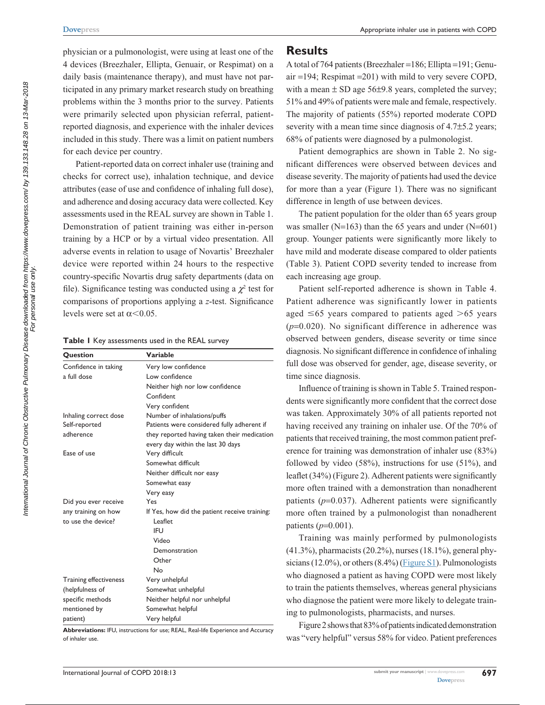physician or a pulmonologist, were using at least one of the 4 devices (Breezhaler, Ellipta, Genuair, or Respimat) on a daily basis (maintenance therapy), and must have not participated in any primary market research study on breathing problems within the 3 months prior to the survey. Patients were primarily selected upon physician referral, patientreported diagnosis, and experience with the inhaler devices included in this study. There was a limit on patient numbers for each device per country.

Patient-reported data on correct inhaler use (training and checks for correct use), inhalation technique, and device attributes (ease of use and confidence of inhaling full dose), and adherence and dosing accuracy data were collected. Key assessments used in the REAL survey are shown in Table 1. Demonstration of patient training was either in-person training by a HCP or by a virtual video presentation. All adverse events in relation to usage of Novartis' Breezhaler device were reported within 24 hours to the respective country-specific Novartis drug safety departments (data on file). Significance testing was conducted using a  $\chi^2$  test for comparisons of proportions applying a *z*-test. Significance levels were set at  $\alpha$  < 0.05.

**Table 1** Key assessments used in the REAL survey

| Question                      | Variable                                      |
|-------------------------------|-----------------------------------------------|
| Confidence in taking          | Very low confidence                           |
| a full dose                   | Low confidence                                |
|                               | Neither high nor low confidence               |
|                               | Confident                                     |
|                               | Very confident                                |
| Inhaling correct dose         | Number of inhalations/puffs                   |
| Self-reported                 | Patients were considered fully adherent if    |
| adherence                     | they reported having taken their medication   |
|                               | every day within the last 30 days             |
| Ease of use                   | Very difficult                                |
|                               | Somewhat difficult                            |
|                               | Neither difficult nor easy                    |
|                               | Somewhat easy                                 |
|                               | Very easy                                     |
| Did you ever receive          | Yes                                           |
| any training on how           | If Yes, how did the patient receive training: |
| to use the device?            | l eaflet                                      |
|                               | IFU                                           |
|                               | Video                                         |
|                               | Demonstration                                 |
|                               | Other                                         |
|                               | No                                            |
| <b>Training effectiveness</b> | Very unhelpful                                |
| (helpfulness of               | Somewhat unhelpful                            |
| specific methods              | Neither helpful nor unhelpful                 |
| mentioned by                  | Somewhat helpful                              |
| patient)                      | Very helpful                                  |

**Abbreviations:** IFU, instructions for use; REAL, Real-life Experience and Accuracy of inhaler use.

### **Results**

A total of 764 patients (Breezhaler =186; Ellipta =191; Genuair =194; Respimat =201) with mild to very severe COPD, with a mean  $\pm$  SD age 56 $\pm$ 9.8 years, completed the survey; 51% and 49% of patients were male and female, respectively. The majority of patients (55%) reported moderate COPD severity with a mean time since diagnosis of 4.7 $\pm$ 5.2 years; 68% of patients were diagnosed by a pulmonologist.

Patient demographics are shown in Table 2. No significant differences were observed between devices and disease severity. The majority of patients had used the device for more than a year (Figure 1). There was no significant difference in length of use between devices.

The patient population for the older than 65 years group was smaller ( $N=163$ ) than the 65 years and under ( $N=601$ ) group. Younger patients were significantly more likely to have mild and moderate disease compared to older patients (Table 3). Patient COPD severity tended to increase from each increasing age group.

Patient self-reported adherence is shown in Table 4. Patient adherence was significantly lower in patients aged  $\leq 65$  years compared to patients aged  $> 65$  years (*p*=0.020). No significant difference in adherence was observed between genders, disease severity or time since diagnosis. No significant difference in confidence of inhaling full dose was observed for gender, age, disease severity, or time since diagnosis.

Influence of training is shown in Table 5. Trained respondents were significantly more confident that the correct dose was taken. Approximately 30% of all patients reported not having received any training on inhaler use. Of the 70% of patients that received training, the most common patient preference for training was demonstration of inhaler use (83%) followed by video (58%), instructions for use (51%), and leaflet (34%) (Figure 2). Adherent patients were significantly more often trained with a demonstration than nonadherent patients (*p*=0.037). Adherent patients were significantly more often trained by a pulmonologist than nonadherent patients (*p*=0.001).

Training was mainly performed by pulmonologists (41.3%), pharmacists (20.2%), nurses (18.1%), general physicians (12.0%), or others  $(8.4\%)$  ([Figure S1](https://www.dovepress.com/get_supplementary_file.php?f=149404.pdf)). Pulmonologists who diagnosed a patient as having COPD were most likely to train the patients themselves, whereas general physicians who diagnose the patient were more likely to delegate training to pulmonologists, pharmacists, and nurses.

Figure 2 shows that 83% of patients indicated demonstration was "very helpful" versus 58% for video. Patient preferences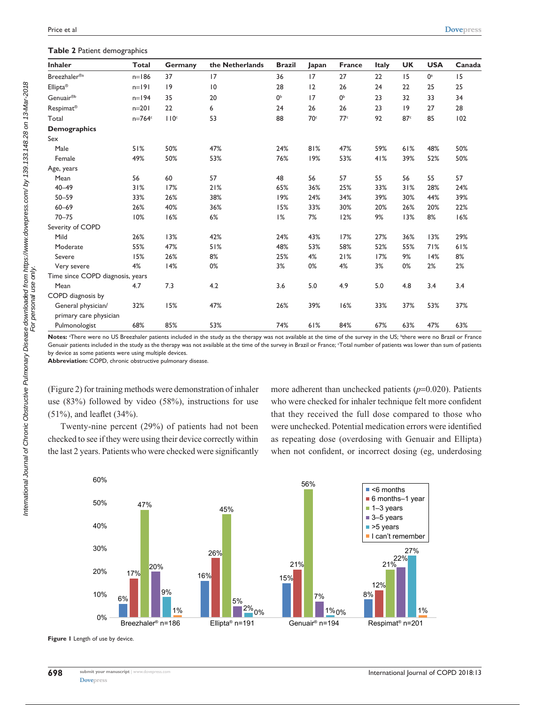| <b>Inhaler</b>                   | <b>Total</b> | Germany          | the Netherlands | <b>Brazil</b>  | Japan           | France          | Italy | <b>UK</b>       | <b>USA</b> | Canada |
|----------------------------------|--------------|------------------|-----------------|----------------|-----------------|-----------------|-------|-----------------|------------|--------|
| Breezhaler® <sup>a</sup>         | $n=186$      | 37               | 17              | 36             | 17              | 27              | 22    | 15              | $0^a$      | 15     |
| Ellipta <sup>®</sup>             | $n=191$      | 9                | 10              | 28             | 12              | 26              | 24    | 22              | 25         | 25     |
| Genuair <sup>®b</sup>            | $n=194$      | 35               | 20              | 0 <sup>b</sup> | 17              | 0 <sup>b</sup>  | 23    | 32              | 33         | 34     |
| Respimat <sup>®</sup>            | $n=201$      | 22               | 6               | 24             | 26              | 26              | 23    | 9               | 27         | 28     |
| Total                            | $n=764$ c    | 110 <sup>c</sup> | 53              | 88             | 70 <sup>c</sup> | 77 <sup>c</sup> | 92    | 87 <sup>c</sup> | 85         | 102    |
| <b>Demographics</b>              |              |                  |                 |                |                 |                 |       |                 |            |        |
| Sex                              |              |                  |                 |                |                 |                 |       |                 |            |        |
| Male                             | 51%          | 50%              | 47%             | 24%            | 81%             | 47%             | 59%   | 61%             | 48%        | 50%    |
| Female                           | 49%          | 50%              | 53%             | 76%            | 19%             | 53%             | 41%   | 39%             | 52%        | 50%    |
| Age, years                       |              |                  |                 |                |                 |                 |       |                 |            |        |
| Mean                             | 56           | 60               | 57              | 48             | 56              | 57              | 55    | 56              | 55         | 57     |
| $40 - 49$                        | 31%          | 17%              | 21%             | 65%            | 36%             | 25%             | 33%   | 31%             | 28%        | 24%    |
| $50 - 59$                        | 33%          | 26%              | 38%             | 19%            | 24%             | 34%             | 39%   | 30%             | 44%        | 39%    |
| $60 - 69$                        | 26%          | 40%              | 36%             | 15%            | 33%             | 30%             | 20%   | 26%             | 20%        | 22%    |
| $70 - 75$                        | 10%          | 16%              | 6%              | 1%             | 7%              | 12%             | 9%    | 13%             | 8%         | 16%    |
| Severity of COPD                 |              |                  |                 |                |                 |                 |       |                 |            |        |
| Mild                             | 26%          | 13%              | 42%             | 24%            | 43%             | 17%             | 27%   | 36%             | 13%        | 29%    |
| Moderate                         | 55%          | 47%              | 51%             | 48%            | 53%             | 58%             | 52%   | 55%             | 71%        | 61%    |
| Severe                           | 15%          | 26%              | 8%              | 25%            | 4%              | 21%             | 17%   | 9%              | 14%        | 8%     |
| Very severe                      | 4%           | 14%              | 0%              | 3%             | 0%              | 4%              | 3%    | 0%              | 2%         | 2%     |
| Time since COPD diagnosis, years |              |                  |                 |                |                 |                 |       |                 |            |        |
| Mean                             | 4.7          | 7.3              | 4.2             | 3.6            | 5.0             | 4.9             | 5.0   | 4.8             | 3.4        | 3.4    |
| COPD diagnosis by                |              |                  |                 |                |                 |                 |       |                 |            |        |
| General physician/               | 32%          | 15%              | 47%             | 26%            | 39%             | 16%             | 33%   | 37%             | 53%        | 37%    |
| primary care physician           |              |                  |                 |                |                 |                 |       |                 |            |        |
| Pulmonologist                    | 68%          | 85%              | 53%             | 74%            | 61%             | 84%             | 67%   | 63%             | 47%        | 63%    |

Notes: <sup>a</sup>There were no US Breezhaler patients included in the study as the therapy was not available at the time of the survey in the US; <sup>b</sup>there were no Brazil or France Genuair patients included in the study as the therapy was not available at the time of the survey in Brazil or France; Total number of patients was lower than sum of patients by device as some patients were using multiple devices.

**Abbreviation:** COPD, chronic obstructive pulmonary disease.

(Figure 2) for training methods were demonstration of inhaler use (83%) followed by video (58%), instructions for use (51%), and leaflet (34%).

Twenty-nine percent (29%) of patients had not been checked to see if they were using their device correctly within the last 2 years. Patients who were checked were significantly more adherent than unchecked patients (*p*=0.020). Patients who were checked for inhaler technique felt more confident that they received the full dose compared to those who were unchecked. Potential medication errors were identified as repeating dose (overdosing with Genuair and Ellipta) when not confident, or incorrect dosing (eg, underdosing



**Figure 1** Length of use by device.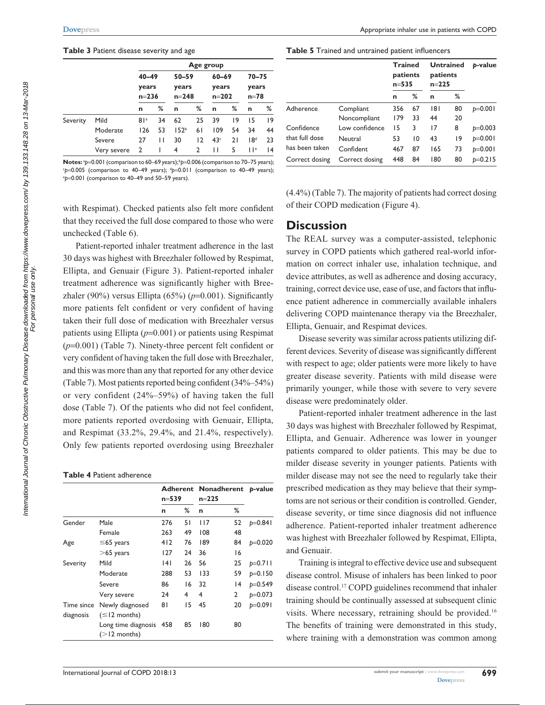#### **Table 3** Patient disease severity and age

|          |             | Age group                       |    |                                 |    |                                 |    |                                |    |  |
|----------|-------------|---------------------------------|----|---------------------------------|----|---------------------------------|----|--------------------------------|----|--|
|          |             | $40 - 49$<br>years<br>$n = 236$ |    | $50 - 59$<br>years<br>$n = 248$ |    | $60 - 69$<br>years<br>$n = 202$ |    | $70 - 75$<br>years<br>$n = 78$ |    |  |
|          |             | n                               | %  | n                               | ℅  | n                               | ℅  | n                              | %  |  |
| Severity | Mild        | 81a                             | 34 | 62                              | 25 | 39                              | 9  | 15                             | 9  |  |
|          | Moderate    | 126                             | 53 | 152 <sup>b</sup>                | 61 | 109                             | 54 | 34                             | 44 |  |
|          | Severe      | 27                              | П  | 30                              | 12 | 43 <sup>c</sup>                 | 21 | 18 <sup>d</sup>                | 23 |  |
|          | Very severe | 2                               |    | 4                               | 2  | Н                               | 5  | $  \cdot  $                    | 4  |  |

**Notes:**  ${}^{2}p=0.001$  (comparison to 60–69 years);  ${}^{b}p=0.006$  (comparison to 70–75 years); comparison to 40–49 years); <sup>c</sup>p=0.005 (comparison to 40–49 years); <sup>d</sup>p=0.011 (comparison to 40–49 years);<br><sup>en—0.001 (comparison to 40–49 and 50–59 years)</sup> *p*=0.001 (comparison to 40–49 and 50–59 years).

with Respimat). Checked patients also felt more confident that they received the full dose compared to those who were unchecked (Table 6).

Patient-reported inhaler treatment adherence in the last 30 days was highest with Breezhaler followed by Respimat, Ellipta, and Genuair (Figure 3). Patient-reported inhaler treatment adherence was significantly higher with Breezhaler (90%) versus Ellipta (65%) (*p*=0.001). Significantly more patients felt confident or very confident of having taken their full dose of medication with Breezhaler versus patients using Ellipta (*p*=0.001) or patients using Respimat (*p*=0.001) (Table 7). Ninety-three percent felt confident or very confident of having taken the full dose with Breezhaler, and this was more than any that reported for any other device (Table 7). Most patients reported being confident (34%–54%) or very confident (24%–59%) of having taken the full dose (Table 7). Of the patients who did not feel confident, more patients reported overdosing with Genuair, Ellipta, and Respimat (33.2%, 29.4%, and 21.4%, respectively). Only few patients reported overdosing using Breezhaler

#### **Table 4** Patient adherence

|            |                         | Adherent Nonadherent p-value<br>n=539<br>$n = 225$ |    |     |    |           |
|------------|-------------------------|----------------------------------------------------|----|-----|----|-----------|
|            |                         | n                                                  | ℅  | n   | ℅  |           |
| Gender     | Male                    | 276                                                | 51 | 117 | 52 | $p=0.841$ |
|            | Female                  | 263                                                | 49 | 108 | 48 |           |
| Age        | $\leq$ 65 years         | 412                                                | 76 | 189 | 84 | $p=0.020$ |
|            | $>65$ years             | 127                                                | 24 | 36  | 16 |           |
| Severity   | Mild                    | 141                                                | 26 | 56  | 25 | $p=0.711$ |
|            | Moderate                | 288                                                | 53 | 133 | 59 | $p=0.150$ |
|            | Severe                  | 86                                                 | 16 | 32  | 14 | $p=0.549$ |
|            | Very severe             | 24                                                 | 4  | 4   | 2  | $p=0.073$ |
| Time since | Newly diagnosed         | 81                                                 | 15 | 45  | 20 | $p=0.091$ |
| diagnosis  | $(\leq 12$ months)      |                                                    |    |     |    |           |
|            | Long time diagnosis 458 |                                                    | 85 | 180 | 80 |           |
|            | $(>12$ months)          |                                                    |    |     |    |           |

**Table 5** Trained and untrained patient influencers

|                |                | <b>Trained</b><br>patients<br>$n = 535$ |    | <b>Untrained</b><br>patients<br>$n = 225$ |    | p-value   |  |
|----------------|----------------|-----------------------------------------|----|-------------------------------------------|----|-----------|--|
|                |                | n                                       | ℅  | n                                         | ℅  |           |  |
| Adherence      | Compliant      | 356                                     | 67 | 181                                       | 80 | $p=0.001$ |  |
|                | Noncompliant   | 179                                     | 33 | 44                                        | 20 |           |  |
| Confidence     | Low confidence | 15                                      | 3  | 17                                        | 8  | $p=0.003$ |  |
| that full dose | Neutral        | 53                                      | 10 | 43                                        | 19 | $p=0.001$ |  |
| has been taken | Confident      | 467                                     | 87 | 165                                       | 73 | $p=0.001$ |  |
| Correct dosing | Correct dosing | 448                                     | 84 | 180                                       | 80 | $p=0.215$ |  |

(4.4%) (Table 7). The majority of patients had correct dosing of their COPD medication (Figure 4).

### **Discussion**

The REAL survey was a computer-assisted, telephonic survey in COPD patients which gathered real-world information on correct inhaler use, inhalation technique, and device attributes, as well as adherence and dosing accuracy, training, correct device use, ease of use, and factors that influence patient adherence in commercially available inhalers delivering COPD maintenance therapy via the Breezhaler, Ellipta, Genuair, and Respimat devices.

Disease severity was similar across patients utilizing different devices. Severity of disease was significantly different with respect to age; older patients were more likely to have greater disease severity. Patients with mild disease were primarily younger, while those with severe to very severe disease were predominately older.

Patient-reported inhaler treatment adherence in the last 30 days was highest with Breezhaler followed by Respimat, Ellipta, and Genuair. Adherence was lower in younger patients compared to older patients. This may be due to milder disease severity in younger patients. Patients with milder disease may not see the need to regularly take their prescribed medication as they may believe that their symptoms are not serious or their condition is controlled. Gender, disease severity, or time since diagnosis did not influence adherence. Patient-reported inhaler treatment adherence was highest with Breezhaler followed by Respimat, Ellipta, and Genuair.

Training is integral to effective device use and subsequent disease control. Misuse of inhalers has been linked to poor disease control.17 COPD guidelines recommend that inhaler training should be continually assessed at subsequent clinic visits. Where necessary, retraining should be provided.16 The benefits of training were demonstrated in this study, where training with a demonstration was common among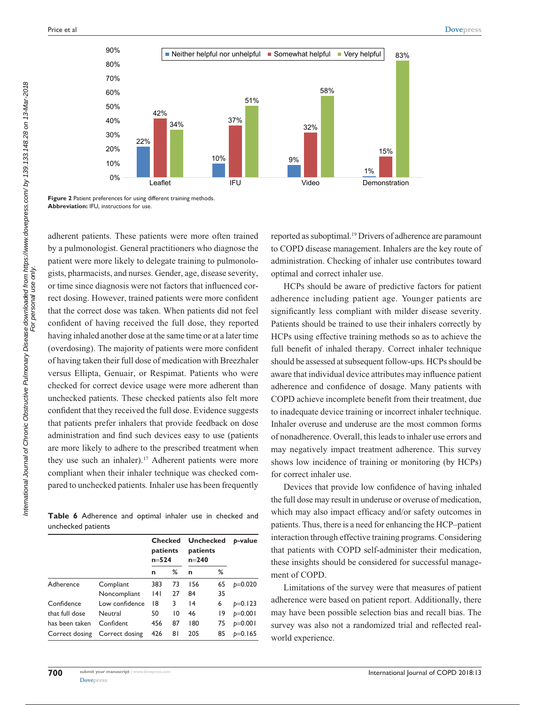

**Figure 2** Patient preferences for using different training methods. **Abbreviation:** IFU, instructions for use.

adherent patients. These patients were more often trained by a pulmonologist. General practitioners who diagnose the patient were more likely to delegate training to pulmonologists, pharmacists, and nurses. Gender, age, disease severity, or time since diagnosis were not factors that influenced correct dosing. However, trained patients were more confident that the correct dose was taken. When patients did not feel confident of having received the full dose, they reported having inhaled another dose at the same time or at a later time (overdosing). The majority of patients were more confident of having taken their full dose of medication with Breezhaler versus Ellipta, Genuair, or Respimat. Patients who were checked for correct device usage were more adherent than unchecked patients. These checked patients also felt more confident that they received the full dose. Evidence suggests that patients prefer inhalers that provide feedback on dose administration and find such devices easy to use (patients are more likely to adhere to the prescribed treatment when they use such an inhaler).<sup>17</sup> Adherent patients were more compliant when their inhaler technique was checked compared to unchecked patients. Inhaler use has been frequently

**Table 6** Adherence and optimal inhaler use in checked and unchecked patients

|                |                | <b>Checked</b><br>patients<br>$n = 524$ |                 | <b>Unchecked</b><br>patients<br>$n = 240$ |    | b-value   |  |
|----------------|----------------|-----------------------------------------|-----------------|-------------------------------------------|----|-----------|--|
|                |                | n                                       | ℅               | n                                         | ℅  |           |  |
| Adherence      | Compliant      | 383                                     | 73              | 156                                       | 65 | $p=0.020$ |  |
|                | Noncompliant   | 4                                       | 27              | 84                                        | 35 |           |  |
| Confidence     | Low confidence | 18                                      | 3               | 14                                        | 6  | $p=0.123$ |  |
| that full dose | Neutral        | 50                                      | $\overline{10}$ | 46                                        | 19 | $p=0.001$ |  |
| has been taken | Confident      | 456                                     | 87              | 180                                       | 75 | $p=0.001$ |  |
| Correct dosing | Correct dosing | 426                                     | 81              | 205                                       | 85 | $p=0.165$ |  |

**700**

reported as suboptimal.19 Drivers of adherence are paramount to COPD disease management. Inhalers are the key route of administration. Checking of inhaler use contributes toward optimal and correct inhaler use.

HCPs should be aware of predictive factors for patient adherence including patient age. Younger patients are significantly less compliant with milder disease severity. Patients should be trained to use their inhalers correctly by HCPs using effective training methods so as to achieve the full benefit of inhaled therapy. Correct inhaler technique should be assessed at subsequent follow-ups. HCPs should be aware that individual device attributes may influence patient adherence and confidence of dosage. Many patients with COPD achieve incomplete benefit from their treatment, due to inadequate device training or incorrect inhaler technique. Inhaler overuse and underuse are the most common forms of nonadherence. Overall, this leads to inhaler use errors and may negatively impact treatment adherence. This survey shows low incidence of training or monitoring (by HCPs) for correct inhaler use.

Devices that provide low confidence of having inhaled the full dose may result in underuse or overuse of medication, which may also impact efficacy and/or safety outcomes in patients. Thus, there is a need for enhancing the HCP–patient interaction through effective training programs. Considering that patients with COPD self-administer their medication, these insights should be considered for successful management of COPD.

Limitations of the survey were that measures of patient adherence were based on patient report. Additionally, there may have been possible selection bias and recall bias. The survey was also not a randomized trial and reflected realworld experience.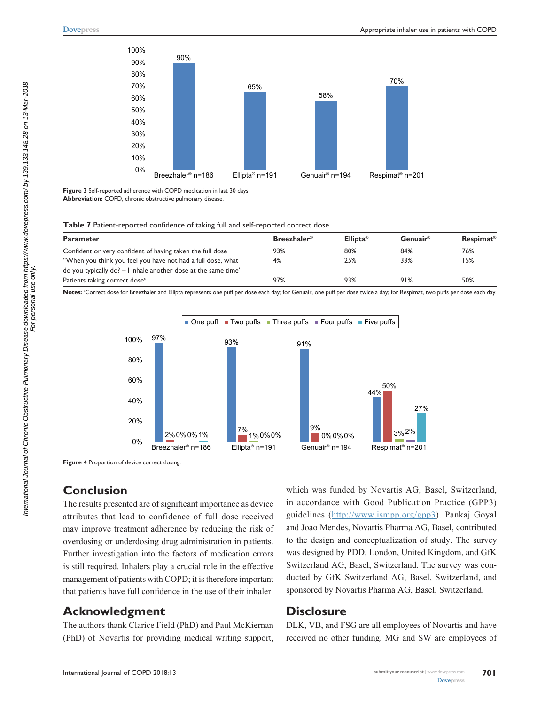

**Figure 3** Self-reported adherence with COPD medication in last 30 days. **Abbreviation:** COPD, chronic obstructive pulmonary disease.

#### **Table 7** Patient-reported confidence of taking full and self-reported correct dose

| <b>Parameter</b>                                               | $B$ reezhaler <sup>®</sup> | Ellipta <sup>®</sup> | Genuair® | <b>Respimat<sup>®</sup></b> |
|----------------------------------------------------------------|----------------------------|----------------------|----------|-----------------------------|
| Confident or very confident of having taken the full dose      | 93%                        | 80%                  | 84%      | 76%                         |
| "When you think you feel you have not had a full dose, what    | 4%                         | 25%                  | 33%      | 15%                         |
| do you typically do? - I inhale another dose at the same time" |                            |                      |          |                             |
| Patients taking correct dose <sup>a</sup>                      | 97%                        | 93%                  | 91%      | 50%                         |

Notes: <sup>a</sup>Correct dose for Breezhaler and Ellipta represents one puff per dose each day; for Genuair, one puff per dose twice a day; for Respimat, two puffs per dose each day.



**Figure 4** Proportion of device correct dosing.

### **Conclusion**

The results presented are of significant importance as device attributes that lead to confidence of full dose received may improve treatment adherence by reducing the risk of overdosing or underdosing drug administration in patients. Further investigation into the factors of medication errors is still required. Inhalers play a crucial role in the effective management of patients with COPD; it is therefore important that patients have full confidence in the use of their inhaler.

# **Acknowledgment**

The authors thank Clarice Field (PhD) and Paul McKiernan (PhD) of Novartis for providing medical writing support,

which was funded by Novartis AG, Basel, Switzerland, in accordance with Good Publication Practice (GPP3) guidelines ([http://www.ismpp.org/gpp3\)](http://www.ismpp.org/gpp3). Pankaj Goyal and Joao Mendes, Novartis Pharma AG, Basel, contributed to the design and conceptualization of study. The survey was designed by PDD, London, United Kingdom, and GfK Switzerland AG, Basel, Switzerland. The survey was conducted by GfK Switzerland AG, Basel, Switzerland, and sponsored by Novartis Pharma AG, Basel, Switzerland.

## **Disclosure**

DLK, VB, and FSG are all employees of Novartis and have received no other funding. MG and SW are employees of